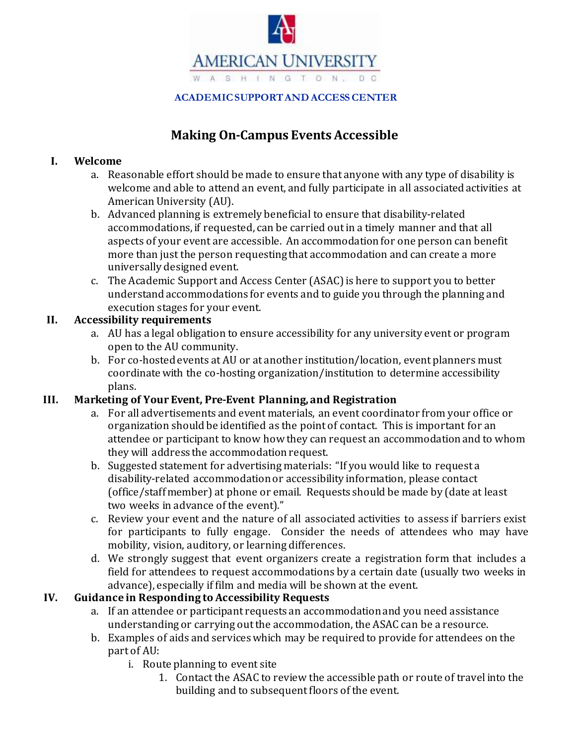

**ACADEMICSUPPORTANDACCESSCENTER**

# **Making On-Campus Events Accessible**

### **I. Welcome**

- a. Reasonable effort should be made to ensure that anyone with any type of disability is welcome and able to attend an event, and fully participate in all associated activities at American University (AU).
- b. Advanced planning is extremely beneficial to ensure that disability-related accommodations,if requested, can be carried out in a timely manner and that all aspects of your event are accessible. An accommodationfor one person can benefit more than just the person requesting that accommodation and can create a more universally designed event.
- c. The Academic Support and Access Center (ASAC)is here to support you to better understandaccommodations for events and to guide you through the planning and execution stages for your event.

### **II. Accessibility requirements**

- a. AU has a legal obligation to ensure accessibility for any university event or program open to the AU community.
- b. For co-hosted events at AU or at another institution/location, event planners must coordinatewith the co-hosting organization/institution to determine accessibility plans.

# **III. Marketing of Your Event, Pre-Event Planning, and Registration**

- a. For all advertisements and event materials, an event coordinator from your office or organization shouldbe identified as the point of contact. This is important for an attendee or participant to know how they can request an accommodationand to whom they will address the accommodationrequest.
- b. Suggested statement for advertising materials: "If you would like to request a disability-related accommodationor accessibility information, please contact (office/staffmember) at phone or email. Requests should be made by (date at least two weeks in advance of the event)."
- c. Review your event and the nature of all associated activities to assess if barriers exist for participants to fully engage. Consider the needs of attendees who may have mobility, vision, auditory, or learning differences.
- d. We strongly suggest that event organizers create a registration form that includes a field for attendees to request accommodations by a certain date (usually two weeks in advance), especially if film and media will be shown at the event.

# **IV. Guidance in Responding to Accessibility Requests**

- a. If an attendee or participant requests an accommodationand you need assistance understandingor carrying outthe accommodation, the ASAC can be a resource.
- b. Examples of aids and serviceswhich may be requiredto provide for attendees on the part of AU:
	- i. Route planning to event site
		- 1. Contact the ASAC to review the accessible path or route of travel into the building and to subsequent floors of the event.